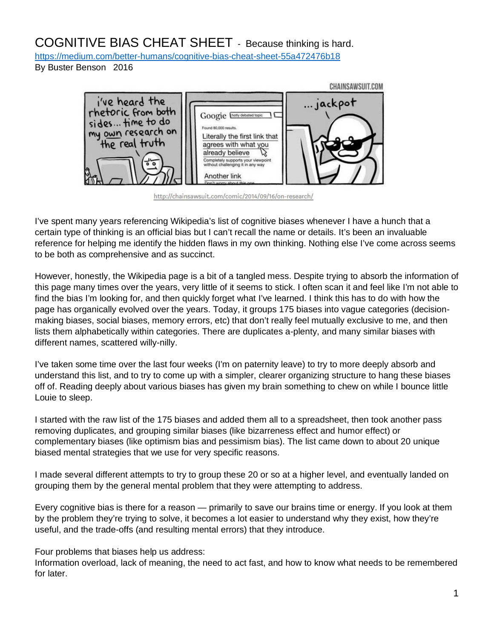# COGNITIVE BIAS CHEAT SHEET - Because thinking is hard.

<https://medium.com/better-humans/cognitive-bias-cheat-sheet-55a472476b18>

By Buster Benson 2016



http://chainsawsuit.com/comic/2014/09/16/on-research/

I've spent many years referencing Wikipedia's list of cognitive biases whenever I have a hunch that a certain type of thinking is an official bias but I can't recall the name or details. It's been an invaluable reference for helping me identify the hidden flaws in my own thinking. Nothing else I've come across seems to be both as comprehensive and as succinct.

However, honestly, the Wikipedia page is a bit of a tangled mess. Despite trying to absorb the information of this page many times over the years, very little of it seems to stick. I often scan it and feel like I'm not able to find the bias I'm looking for, and then quickly forget what I've learned. I think this has to do with how the page has organically evolved over the years. Today, it groups 175 biases into vague categories (decisionmaking biases, social biases, memory errors, etc) that don't really feel mutually exclusive to me, and then lists them alphabetically within categories. There are duplicates a-plenty, and many similar biases with different names, scattered willy-nilly.

I've taken some time over the last four weeks (I'm on paternity leave) to try to more deeply absorb and understand this list, and to try to come up with a simpler, clearer organizing structure to hang these biases off of. Reading deeply about various biases has given my brain something to chew on while I bounce little Louie to sleep.

I started with the raw list of the 175 biases and added them all to a spreadsheet, then took another pass removing duplicates, and grouping similar biases (like bizarreness effect and humor effect) or complementary biases (like optimism bias and pessimism bias). The list came down to about 20 unique biased mental strategies that we use for very specific reasons.

I made several different attempts to try to group these 20 or so at a higher level, and eventually landed on grouping them by the general mental problem that they were attempting to address.

Every cognitive bias is there for a reason — primarily to save our brains time or energy. If you look at them by the problem they're trying to solve, it becomes a lot easier to understand why they exist, how they're useful, and the trade-offs (and resulting mental errors) that they introduce.

Four problems that biases help us address:

Information overload, lack of meaning, the need to act fast, and how to know what needs to be remembered for later.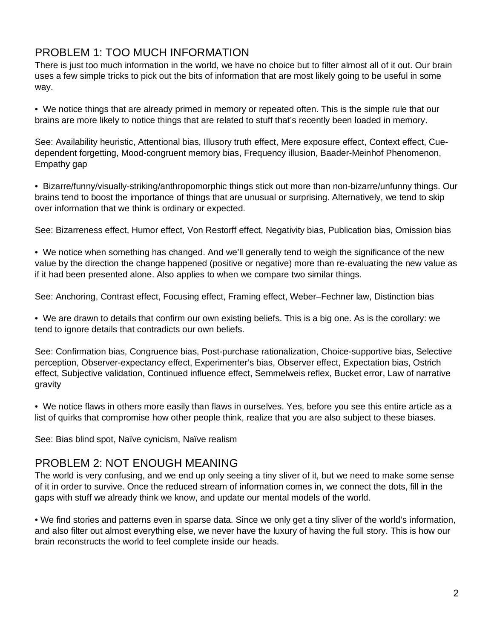## PROBLEM 1: TOO MUCH INFORMATION

There is just too much information in the world, we have no choice but to filter almost all of it out. Our brain uses a few simple tricks to pick out the bits of information that are most likely going to be useful in some way.

• We notice things that are already primed in memory or repeated often. This is the simple rule that our brains are more likely to notice things that are related to stuff that's recently been loaded in memory.

See: Availability heuristic, Attentional bias, Illusory truth effect, Mere exposure effect, Context effect, Cuedependent forgetting, Mood-congruent memory bias, Frequency illusion, Baader-Meinhof Phenomenon, Empathy gap

• Bizarre/funny/visually-striking/anthropomorphic things stick out more than non-bizarre/unfunny things. Our brains tend to boost the importance of things that are unusual or surprising. Alternatively, we tend to skip over information that we think is ordinary or expected.

See: Bizarreness effect, Humor effect, Von Restorff effect, Negativity bias, Publication bias, Omission bias

• We notice when something has changed. And we'll generally tend to weigh the significance of the new value by the direction the change happened (positive or negative) more than re-evaluating the new value as if it had been presented alone. Also applies to when we compare two similar things.

See: Anchoring, Contrast effect, Focusing effect, Framing effect, Weber–Fechner law, Distinction bias

• We are drawn to details that confirm our own existing beliefs. This is a big one. As is the corollary: we tend to ignore details that contradicts our own beliefs.

See: Confirmation bias, Congruence bias, Post-purchase rationalization, Choice-supportive bias, Selective perception, Observer-expectancy effect, Experimenter's bias, Observer effect, Expectation bias, Ostrich effect, Subjective validation, Continued influence effect, Semmelweis reflex, Bucket error, Law of narrative gravity

• We notice flaws in others more easily than flaws in ourselves. Yes, before you see this entire article as a list of quirks that compromise how other people think, realize that you are also subject to these biases.

See: Bias blind spot, Naïve cynicism, Naïve realism

#### PROBLEM 2: NOT ENOUGH MEANING

The world is very confusing, and we end up only seeing a tiny sliver of it, but we need to make some sense of it in order to survive. Once the reduced stream of information comes in, we connect the dots, fill in the gaps with stuff we already think we know, and update our mental models of the world.

• We find stories and patterns even in sparse data. Since we only get a tiny sliver of the world's information, and also filter out almost everything else, we never have the luxury of having the full story. This is how our brain reconstructs the world to feel complete inside our heads.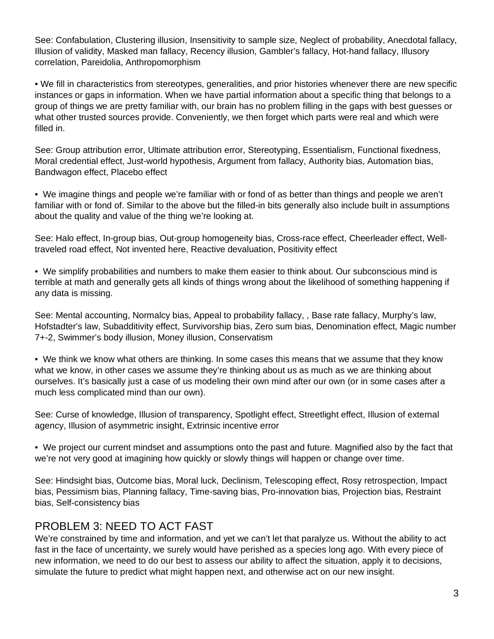See: Confabulation, Clustering illusion, Insensitivity to sample size, Neglect of probability, Anecdotal fallacy, Illusion of validity, Masked man fallacy, Recency illusion, Gambler's fallacy, Hot-hand fallacy, Illusory correlation, Pareidolia, Anthropomorphism

• We fill in characteristics from stereotypes, generalities, and prior histories whenever there are new specific instances or gaps in information. When we have partial information about a specific thing that belongs to a group of things we are pretty familiar with, our brain has no problem filling in the gaps with best guesses or what other trusted sources provide. Conveniently, we then forget which parts were real and which were filled in.

See: Group attribution error, Ultimate attribution error, Stereotyping, Essentialism, Functional fixedness, Moral credential effect, Just-world hypothesis, Argument from fallacy, Authority bias, Automation bias, Bandwagon effect, Placebo effect

• We imagine things and people we're familiar with or fond of as better than things and people we aren't familiar with or fond of. Similar to the above but the filled-in bits generally also include built in assumptions about the quality and value of the thing we're looking at.

See: Halo effect, In-group bias, Out-group homogeneity bias, Cross-race effect, Cheerleader effect, Welltraveled road effect, Not invented here, Reactive devaluation, Positivity effect

• We simplify probabilities and numbers to make them easier to think about. Our subconscious mind is terrible at math and generally gets all kinds of things wrong about the likelihood of something happening if any data is missing.

See: Mental accounting, Normalcy bias, Appeal to probability fallacy, , Base rate fallacy, Murphy's law, Hofstadter's law, Subadditivity effect, Survivorship bias, Zero sum bias, Denomination effect, Magic number 7+-2, Swimmer's body illusion, Money illusion, Conservatism

• We think we know what others are thinking. In some cases this means that we assume that they know what we know, in other cases we assume they're thinking about us as much as we are thinking about ourselves. It's basically just a case of us modeling their own mind after our own (or in some cases after a much less complicated mind than our own).

See: Curse of knowledge, Illusion of transparency, Spotlight effect, Streetlight effect, Illusion of external agency, Illusion of asymmetric insight, Extrinsic incentive error

• We project our current mindset and assumptions onto the past and future. Magnified also by the fact that we're not very good at imagining how quickly or slowly things will happen or change over time.

See: Hindsight bias, Outcome bias, Moral luck, Declinism, Telescoping effect, Rosy retrospection, Impact bias, Pessimism bias, Planning fallacy, Time-saving bias, Pro-innovation bias, Projection bias, Restraint bias, Self-consistency bias

## PROBLEM 3: NEED TO ACT FAST

We're constrained by time and information, and yet we can't let that paralyze us. Without the ability to act fast in the face of uncertainty, we surely would have perished as a species long ago. With every piece of new information, we need to do our best to assess our ability to affect the situation, apply it to decisions, simulate the future to predict what might happen next, and otherwise act on our new insight.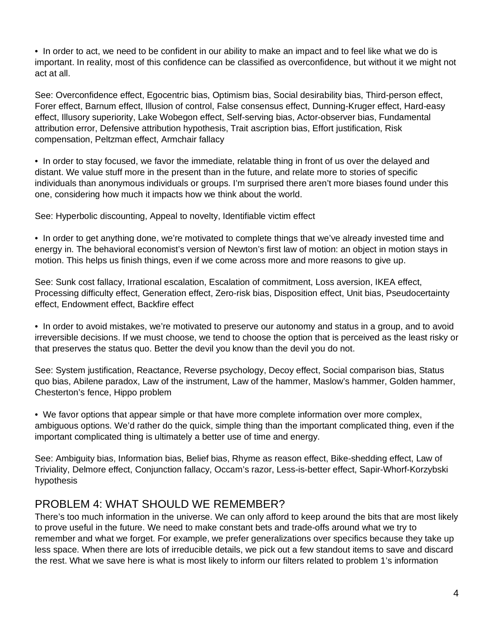• In order to act, we need to be confident in our ability to make an impact and to feel like what we do is important. In reality, most of this confidence can be classified as overconfidence, but without it we might not act at all.

See: Overconfidence effect, Egocentric bias, Optimism bias, Social desirability bias, Third-person effect, Forer effect, Barnum effect, Illusion of control, False consensus effect, Dunning-Kruger effect, Hard-easy effect, Illusory superiority, Lake Wobegon effect, Self-serving bias, Actor-observer bias, Fundamental attribution error, Defensive attribution hypothesis, Trait ascription bias, Effort justification, Risk compensation, Peltzman effect, Armchair fallacy

• In order to stay focused, we favor the immediate, relatable thing in front of us over the delayed and distant. We value stuff more in the present than in the future, and relate more to stories of specific individuals than anonymous individuals or groups. I'm surprised there aren't more biases found under this one, considering how much it impacts how we think about the world.

See: Hyperbolic discounting, Appeal to novelty, Identifiable victim effect

• In order to get anything done, we're motivated to complete things that we've already invested time and energy in. The behavioral economist's version of Newton's first law of motion: an object in motion stays in motion. This helps us finish things, even if we come across more and more reasons to give up.

See: Sunk cost fallacy, Irrational escalation, Escalation of commitment, Loss aversion, IKEA effect, Processing difficulty effect, Generation effect, Zero-risk bias, Disposition effect, Unit bias, Pseudocertainty effect, Endowment effect, Backfire effect

• In order to avoid mistakes, we're motivated to preserve our autonomy and status in a group, and to avoid irreversible decisions. If we must choose, we tend to choose the option that is perceived as the least risky or that preserves the status quo. Better the devil you know than the devil you do not.

See: System justification, Reactance, Reverse psychology, Decoy effect, Social comparison bias, Status quo bias, Abilene paradox, Law of the instrument, Law of the hammer, Maslow's hammer, Golden hammer, Chesterton's fence, Hippo problem

• We favor options that appear simple or that have more complete information over more complex, ambiguous options. We'd rather do the quick, simple thing than the important complicated thing, even if the important complicated thing is ultimately a better use of time and energy.

See: Ambiguity bias, Information bias, Belief bias, Rhyme as reason effect, Bike-shedding effect, Law of Triviality, Delmore effect, Conjunction fallacy, Occam's razor, Less-is-better effect, Sapir-Whorf-Korzybski hypothesis

## PROBLEM 4: WHAT SHOULD WE REMEMBER?

There's too much information in the universe. We can only afford to keep around the bits that are most likely to prove useful in the future. We need to make constant bets and trade-offs around what we try to remember and what we forget. For example, we prefer generalizations over specifics because they take up less space. When there are lots of irreducible details, we pick out a few standout items to save and discard the rest. What we save here is what is most likely to inform our filters related to problem 1's information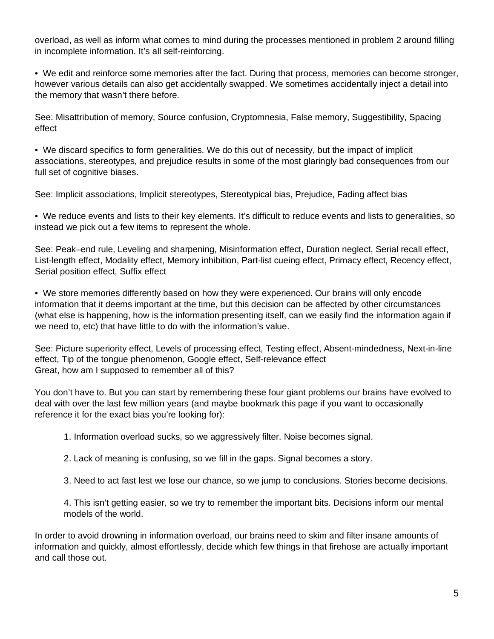overload, as well as inform what comes to mind during the processes mentioned in problem 2 around filling in incomplete information. It's all self-reinforcing.

• We edit and reinforce some memories after the fact. During that process, memories can become stronger, however various details can also get accidentally swapped. We sometimes accidentally inject a detail into the memory that wasn't there before.

See: Misattribution of memory, Source confusion, Cryptomnesia, False memory, Suggestibility, Spacing effect

• We discard specifics to form generalities. We do this out of necessity, but the impact of implicit associations, stereotypes, and prejudice results in some of the most glaringly bad consequences from our full set of cognitive biases.

See: Implicit associations, Implicit stereotypes, Stereotypical bias, Prejudice, Fading affect bias

• We reduce events and lists to their key elements. It's difficult to reduce events and lists to generalities, so instead we pick out a few items to represent the whole.

See: Peak–end rule, Leveling and sharpening, Misinformation effect, Duration neglect, Serial recall effect, List-length effect, Modality effect, Memory inhibition, Part-list cueing effect, Primacy effect, Recency effect, Serial position effect, Suffix effect

• We store memories differently based on how they were experienced. Our brains will only encode information that it deems important at the time, but this decision can be affected by other circumstances (what else is happening, how is the information presenting itself, can we easily find the information again if we need to, etc) that have little to do with the information's value.

See: Picture superiority effect, Levels of processing effect, Testing effect, Absent-mindedness, Next-in-line effect, Tip of the tongue phenomenon, Google effect, Self-relevance effect Great, how am I supposed to remember all of this?

You don't have to. But you can start by remembering these four giant problems our brains have evolved to deal with over the last few million years (and maybe bookmark this page if you want to occasionally reference it for the exact bias you're looking for):

1. Information overload sucks, so we aggressively filter. Noise becomes signal.

- 2. Lack of meaning is confusing, so we fill in the gaps. Signal becomes a story.
- 3. Need to act fast lest we lose our chance, so we jump to conclusions. Stories become decisions.

4. This isn't getting easier, so we try to remember the important bits. Decisions inform our mental models of the world.

In order to avoid drowning in information overload, our brains need to skim and filter insane amounts of information and quickly, almost effortlessly, decide which few things in that firehose are actually important and call those out.